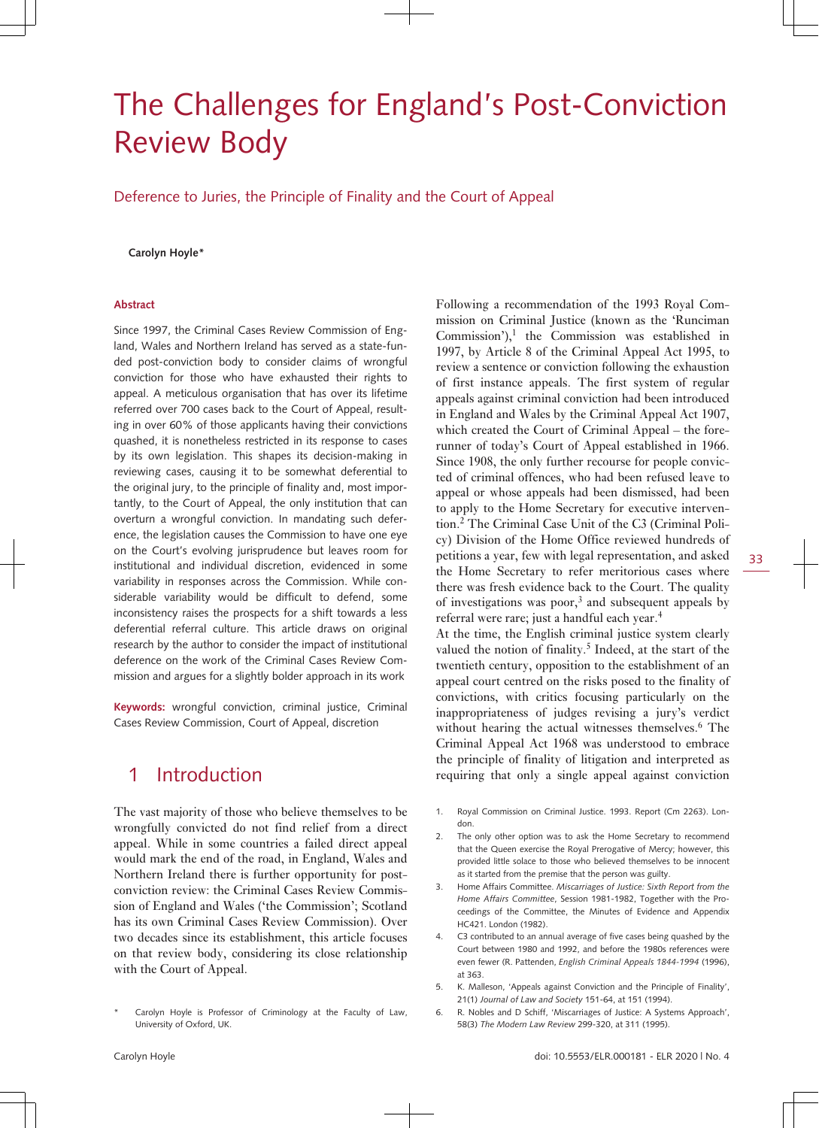# The Challenges for England's Post-Conviction Review Body

Deference to Juries, the Principle of Finality and the Court of Appeal

#### **Carolyn Hoyle\***

#### **Abstract**

Since 1997, the Criminal Cases Review Commission of England, Wales and Northern Ireland has served as a state-funded post-conviction body to consider claims of wrongful conviction for those who have exhausted their rights to appeal. A meticulous organisation that has over its lifetime referred over 700 cases back to the Court of Appeal, resulting in over 60% of those applicants having their convictions quashed, it is nonetheless restricted in its response to cases by its own legislation. This shapes its decision-making in reviewing cases, causing it to be somewhat deferential to the original jury, to the principle of finality and, most importantly, to the Court of Appeal, the only institution that can overturn a wrongful conviction. In mandating such deference, the legislation causes the Commission to have one eye on the Court's evolving jurisprudence but leaves room for institutional and individual discretion, evidenced in some variability in responses across the Commission. While considerable variability would be difficult to defend, some inconsistency raises the prospects for a shift towards a less deferential referral culture. This article draws on original research by the author to consider the impact of institutional deference on the work of the Criminal Cases Review Commission and argues for a slightly bolder approach in its work

**Keywords:** wrongful conviction, criminal justice, Criminal Cases Review Commission, Court of Appeal, discretion

### 1 Introduction

The vast majority of those who believe themselves to be wrongfully convicted do not find relief from a direct appeal. While in some countries a failed direct appeal would mark the end of the road, in England, Wales and Northern Ireland there is further opportunity for postconviction review: the Criminal Cases Review Commission of England and Wales ('the Commission'; Scotland has its own Criminal Cases Review Commission). Over two decades since its establishment, this article focuses on that review body, considering its close relationship with the Court of Appeal.

Following a recommendation of the 1993 Royal Commission on Criminal Justice (known as the 'Runciman Commission'), $^1$  the Commission was established in 1997, by Article 8 of the Criminal Appeal Act 1995, to review a sentence or conviction following the exhaustion of first instance appeals. The first system of regular appeals against criminal conviction had been introduced in England and Wales by the Criminal Appeal Act 1907, which created the Court of Criminal Appeal – the forerunner of today's Court of Appeal established in 1966. Since 1908, the only further recourse for people convicted of criminal offences, who had been refused leave to appeal or whose appeals had been dismissed, had been to apply to the Home Secretary for executive intervention.<sup>2</sup> The Criminal Case Unit of the C3 (Criminal Policy) Division of the Home Office reviewed hundreds of petitions a year, few with legal representation, and asked the Home Secretary to refer meritorious cases where there was fresh evidence back to the Court. The quality of investigations was poor, $3$  and subsequent appeals by referral were rare; just a handful each year.<sup>4</sup>

At the time, the English criminal justice system clearly valued the notion of finality.<sup>5</sup> Indeed, at the start of the twentieth century, opposition to the establishment of an appeal court centred on the risks posed to the finality of convictions, with critics focusing particularly on the inappropriateness of judges revising a jury's verdict without hearing the actual witnesses themselves.<sup>6</sup> The Criminal Appeal Act 1968 was understood to embrace the principle of finality of litigation and interpreted as requiring that only a single appeal against conviction

- 1. Royal Commission on Criminal Justice. 1993. Report (Cm 2263). London.
- 2. The only other option was to ask the Home Secretary to recommend that the Queen exercise the Royal Prerogative of Mercy; however, this provided little solace to those who believed themselves to be innocent as it started from the premise that the person was guilty.
- 3. Home Affairs Committee. *Miscarriages of Justice: Sixth Report from the Home Affairs Committee*, Session 1981-1982, Together with the Proceedings of the Committee, the Minutes of Evidence and Appendix HC421. London (1982).
- 4. C3 contributed to an annual average of five cases being quashed by the Court between 1980 and 1992, and before the 1980s references were even fewer (R. Pattenden, *English Criminal Appeals 1844-1994* (1996), at 363.
- 5. K. Malleson, 'Appeals against Conviction and the Principle of Finality', 21(1) *Journal of Law and Society* 151-64, at 151 (1994).
- 6. R. Nobles and D Schiff, 'Miscarriages of Justice: A Systems Approach', 58(3) *The Modern Law Review* 299-320, at 311 (1995).

Carolyn Hoyle is Professor of Criminology at the Faculty of Law, University of Oxford, UK.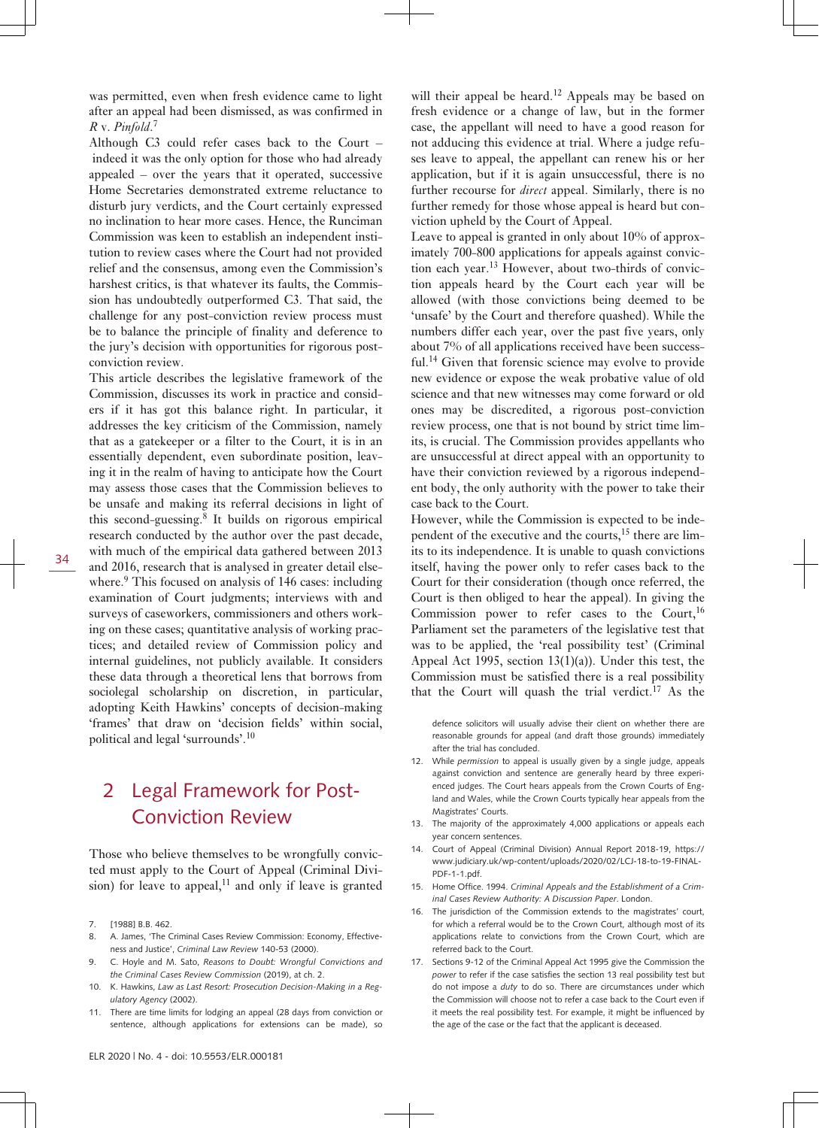was permitted, even when fresh evidence came to light after an appeal had been dismissed, as was confirmed in *R* v. *Pinfold*. 7

Although C3 could refer cases back to the Court – indeed it was the only option for those who had already appealed – over the years that it operated, successive Home Secretaries demonstrated extreme reluctance to disturb jury verdicts, and the Court certainly expressed no inclination to hear more cases. Hence, the Runciman Commission was keen to establish an independent institution to review cases where the Court had not provided relief and the consensus, among even the Commission's harshest critics, is that whatever its faults, the Commission has undoubtedly outperformed C3. That said, the challenge for any post-conviction review process must be to balance the principle of finality and deference to the jury's decision with opportunities for rigorous postconviction review.

This article describes the legislative framework of the Commission, discusses its work in practice and considers if it has got this balance right. In particular, it addresses the key criticism of the Commission, namely that as a gatekeeper or a filter to the Court, it is in an essentially dependent, even subordinate position, leaving it in the realm of having to anticipate how the Court may assess those cases that the Commission believes to be unsafe and making its referral decisions in light of this second-guessing.<sup>8</sup> It builds on rigorous empirical research conducted by the author over the past decade, with much of the empirical data gathered between 2013 and 2016, research that is analysed in greater detail elsewhere.<sup>9</sup> This focused on analysis of 146 cases: including examination of Court judgments; interviews with and surveys of caseworkers, commissioners and others working on these cases; quantitative analysis of working practices; and detailed review of Commission policy and internal guidelines, not publicly available. It considers these data through a theoretical lens that borrows from sociolegal scholarship on discretion, in particular,

### 2 Legal Framework for Post-Conviction Review

adopting Keith Hawkins' concepts of decision-making 'frames' that draw on 'decision fields' within social,

political and legal 'surrounds'.<sup>10</sup>

Those who believe themselves to be wrongfully convicted must apply to the Court of Appeal (Criminal Division) for leave to appeal, $11$  and only if leave is granted

- 8. A. James, 'The Criminal Cases Review Commission: Economy, Effectiveness and Justice', *Criminal Law Review* 140-53 (2000).
- 9. C. Hoyle and M. Sato, *Reasons to Doubt: Wrongful Convictions and the Criminal Cases Review Commission* (2019), at ch. 2.
- 10. K. Hawkins, *Law as Last Resort: Prosecution Decision-Making in a Regulatory Agency* (2002).
- 11. There are time limits for lodging an appeal (28 days from conviction or sentence, although applications for extensions can be made), so

will their appeal be heard.<sup>12</sup> Appeals may be based on fresh evidence or a change of law, but in the former case, the appellant will need to have a good reason for not adducing this evidence at trial. Where a judge refuses leave to appeal, the appellant can renew his or her application, but if it is again unsuccessful, there is no further recourse for *direct* appeal. Similarly, there is no further remedy for those whose appeal is heard but conviction upheld by the Court of Appeal.

Leave to appeal is granted in only about 10% of approximately 700-800 applications for appeals against conviction each year.13 However, about two-thirds of conviction appeals heard by the Court each year will be allowed (with those convictions being deemed to be 'unsafe' by the Court and therefore quashed). While the numbers differ each year, over the past five years, only about 7% of all applications received have been successful.<sup>14</sup> Given that forensic science may evolve to provide new evidence or expose the weak probative value of old science and that new witnesses may come forward or old ones may be discredited, a rigorous post-conviction review process, one that is not bound by strict time limits, is crucial. The Commission provides appellants who are unsuccessful at direct appeal with an opportunity to have their conviction reviewed by a rigorous independent body, the only authority with the power to take their case back to the Court.

However, while the Commission is expected to be independent of the executive and the courts, $15$  there are limits to its independence. It is unable to quash convictions itself, having the power only to refer cases back to the Court for their consideration (though once referred, the Court is then obliged to hear the appeal). In giving the Commission power to refer cases to the Court,  $16$ Parliament set the parameters of the legislative test that was to be applied, the 'real possibility test' (Criminal Appeal Act 1995, section 13(1)(a)). Under this test, the Commission must be satisfied there is a real possibility that the Court will quash the trial verdict.<sup>17</sup> As the

defence solicitors will usually advise their client on whether there are reasonable grounds for appeal (and draft those grounds) immediately after the trial has concluded.

- 12. While *permission* to appeal is usually given by a single judge, appeals against conviction and sentence are generally heard by three experienced judges. The Court hears appeals from the Crown Courts of England and Wales, while the Crown Courts typically hear appeals from the Magistrates' Courts.
- 13. The majority of the approximately 4,000 applications or appeals each year concern sentences.
- 14. Court of Appeal (Criminal Division) Annual Report 2018-19, [https://](https://www.judiciary.uk/wp-content/uploads/2020/02/LCJ-18-to-19-FINAL-PDF-1-1.pdf) [www.judiciary.uk/wp-content/uploads/2020/02/LCJ-18-to-19-FINAL-](https://www.judiciary.uk/wp-content/uploads/2020/02/LCJ-18-to-19-FINAL-PDF-1-1.pdf)PDF-1-1 ndf
- 15. Home Office. 1994. *Criminal Appeals and the Establishment of a Criminal Cases Review Authority: A Discussion Paper*. London.
- 16. The jurisdiction of the Commission extends to the magistrates' court, for which a referral would be to the Crown Court, although most of its applications relate to convictions from the Crown Court, which are referred back to the Court.
- 17. Sections 9-12 of the Criminal Appeal Act 1995 give the Commission the *power* to refer if the case satisfies the section 13 real possibility test but do not impose a *duty* to do so. There are circumstances under which the Commission will choose not to refer a case back to the Court even if it meets the real possibility test. For example, it might be influenced by the age of the case or the fact that the applicant is deceased.

<sup>7. [1988]</sup> B.B. 462.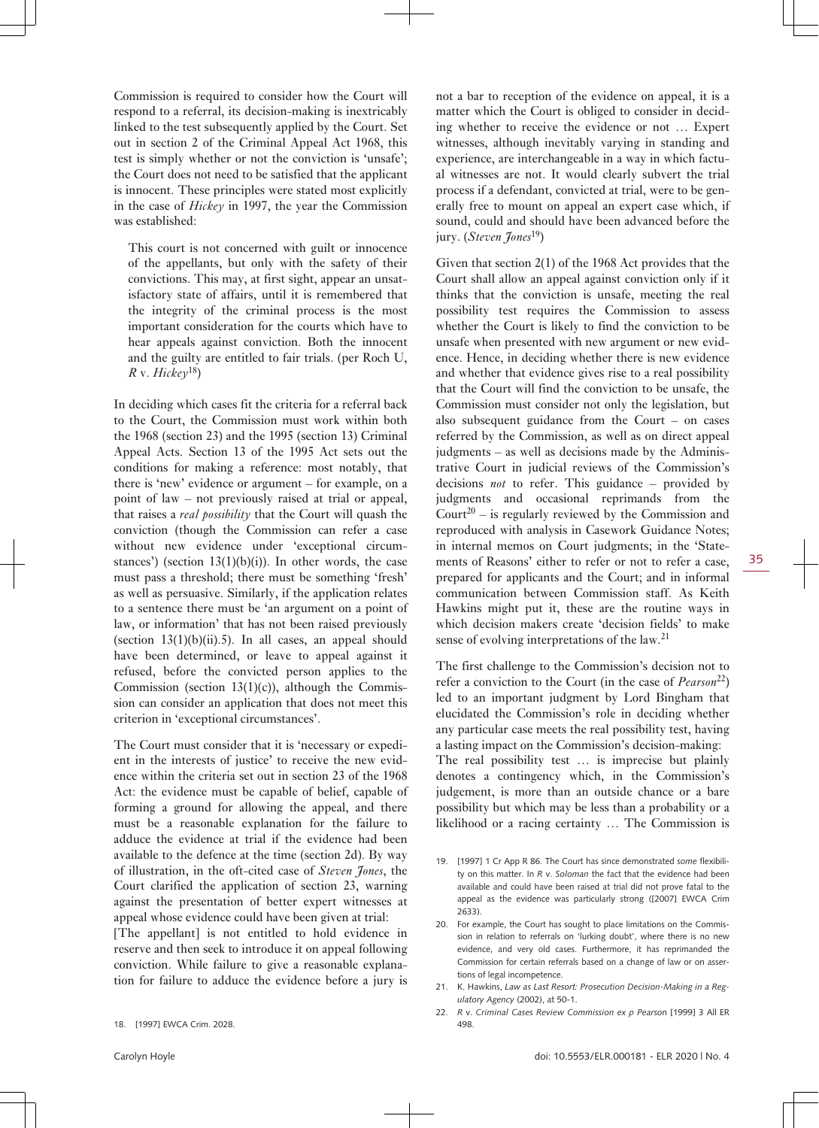Commission is required to consider how the Court will respond to a referral, its decision-making is inextricably linked to the test subsequently applied by the Court. Set out in section 2 of the Criminal Appeal Act 1968, this test is simply whether or not the conviction is 'unsafe'; the Court does not need to be satisfied that the applicant is innocent. These principles were stated most explicitly in the case of *Hickey* in 1997, the year the Commission was established:

This court is not concerned with guilt or innocence of the appellants, but only with the safety of their convictions. This may, at first sight, appear an unsatisfactory state of affairs, until it is remembered that the integrity of the criminal process is the most important consideration for the courts which have to hear appeals against conviction. Both the innocent and the guilty are entitled to fair trials. (per Roch U,  $R$  v.  $Hickev$ <sup>18</sup>)

In deciding which cases fit the criteria for a referral back to the Court, the Commission must work within both the 1968 (section 23) and the 1995 (section 13) Criminal Appeal Acts. Section 13 of the 1995 Act sets out the conditions for making a reference: most notably, that there is 'new' evidence or argument – for example, on a point of law – not previously raised at trial or appeal, that raises a *real possibility* that the Court will quash the conviction (though the Commission can refer a case without new evidence under 'exceptional circumstances') (section  $13(1)(b)(i)$ ). In other words, the case must pass a threshold; there must be something 'fresh' as well as persuasive. Similarly, if the application relates to a sentence there must be 'an argument on a point of law, or information' that has not been raised previously (section  $13(1)(b)(ii)$ .5). In all cases, an appeal should have been determined, or leave to appeal against it refused, before the convicted person applies to the Commission (section  $13(1)(c)$ ), although the Commission can consider an application that does not meet this criterion in 'exceptional circumstances'.

The Court must consider that it is 'necessary or expedient in the interests of justice' to receive the new evidence within the criteria set out in section 23 of the 1968 Act: the evidence must be capable of belief, capable of forming a ground for allowing the appeal, and there must be a reasonable explanation for the failure to adduce the evidence at trial if the evidence had been available to the defence at the time (section 2d). By way of illustration, in the oft-cited case of *Steven Jones*, the Court clarified the application of section 23, warning against the presentation of better expert witnesses at appeal whose evidence could have been given at trial:

[The appellant] is not entitled to hold evidence in reserve and then seek to introduce it on appeal following conviction. While failure to give a reasonable explanation for failure to adduce the evidence before a jury is

not a bar to reception of the evidence on appeal, it is a matter which the Court is obliged to consider in deciding whether to receive the evidence or not … Expert witnesses, although inevitably varying in standing and experience, are interchangeable in a way in which factual witnesses are not. It would clearly subvert the trial process if a defendant, convicted at trial, were to be generally free to mount on appeal an expert case which, if sound, could and should have been advanced before the jury. (*Steven Jones*<sup>19</sup>)

Given that section 2(1) of the 1968 Act provides that the Court shall allow an appeal against conviction only if it thinks that the conviction is unsafe, meeting the real possibility test requires the Commission to assess whether the Court is likely to find the conviction to be unsafe when presented with new argument or new evidence. Hence, in deciding whether there is new evidence and whether that evidence gives rise to a real possibility that the Court will find the conviction to be unsafe, the Commission must consider not only the legislation, but also subsequent guidance from the Court – on cases referred by the Commission, as well as on direct appeal judgments – as well as decisions made by the Administrative Court in judicial reviews of the Commission's decisions *not* to refer. This guidance – provided by judgments and occasional reprimands from the Court<sup>20</sup> – is regularly reviewed by the Commission and reproduced with analysis in Casework Guidance Notes; in internal memos on Court judgments; in the 'Statements of Reasons' either to refer or not to refer a case, prepared for applicants and the Court; and in informal communication between Commission staff. As Keith Hawkins might put it, these are the routine ways in which decision makers create 'decision fields' to make sense of evolving interpretations of the law.<sup>21</sup>

The first challenge to the Commission's decision not to refer a conviction to the Court (in the case of *Pearson*22) led to an important judgment by Lord Bingham that elucidated the Commission's role in deciding whether any particular case meets the real possibility test, having a lasting impact on the Commission's decision-making: The real possibility test … is imprecise but plainly denotes a contingency which, in the Commission's judgement, is more than an outside chance or a bare possibility but which may be less than a probability or a likelihood or a racing certainty … The Commission is

- 19. [1997] 1 Cr App R 86. The Court has since demonstrated *some* flexibility on this matter. In *R* v. *Soloman* the fact that the evidence had been available and could have been raised at trial did not prove fatal to the appeal as the evidence was particularly strong ([2007] EWCA Crim 2633).
- 20. For example, the Court has sought to place limitations on the Commission in relation to referrals on 'lurking doubt', where there is no new evidence, and very old cases. Furthermore, it has reprimanded the Commission for certain referrals based on a change of law or on assertions of legal incompetence.
- 21. K. Hawkins, *Law as Last Resort: Prosecution Decision-Making in a Regulatory Agency* (2002), at 50-1.
- 22. *R* v. *Criminal Cases Review Commission ex p Pearso*n [1999] 3 All ER 498.

<sup>18. [1997]</sup> EWCA Crim. 2028.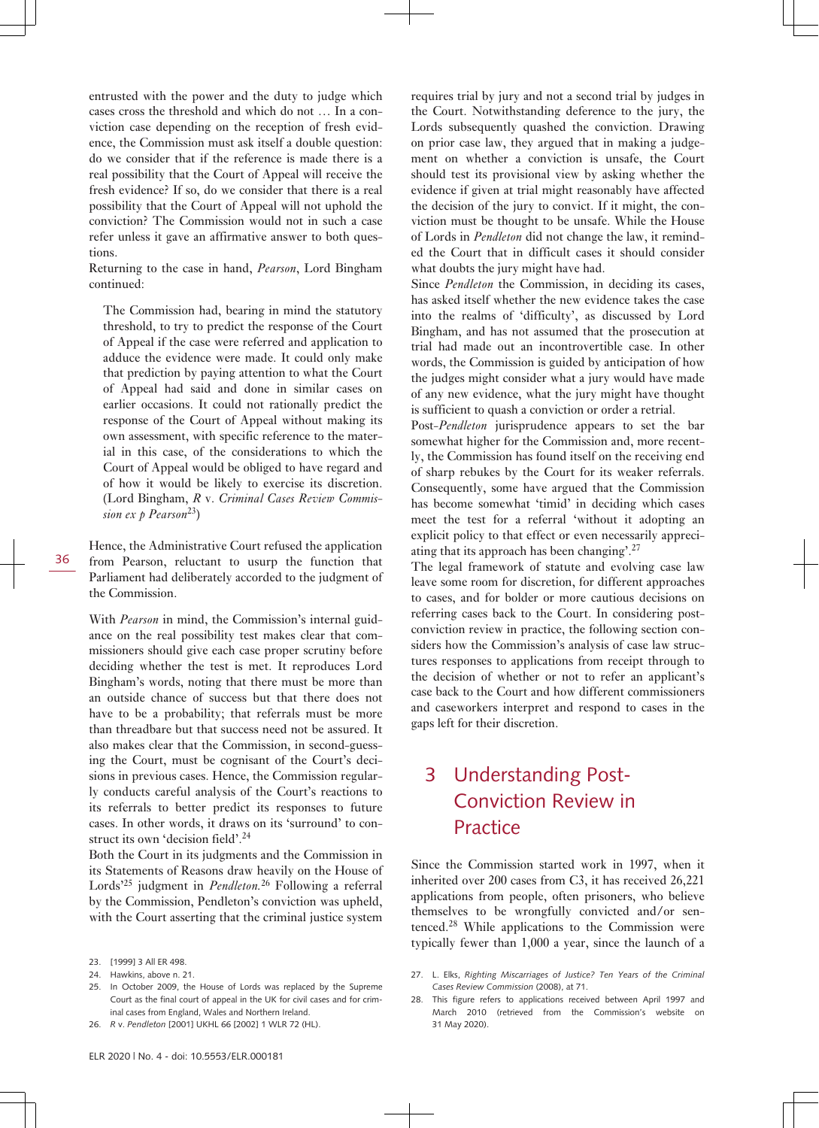entrusted with the power and the duty to judge which cases cross the threshold and which do not … In a conviction case depending on the reception of fresh evidence, the Commission must ask itself a double question: do we consider that if the reference is made there is a real possibility that the Court of Appeal will receive the fresh evidence? If so, do we consider that there is a real possibility that the Court of Appeal will not uphold the conviction? The Commission would not in such a case refer unless it gave an affirmative answer to both questions.

Returning to the case in hand, *Pearson*, Lord Bingham continued:

The Commission had, bearing in mind the statutory threshold, to try to predict the response of the Court of Appeal if the case were referred and application to adduce the evidence were made. It could only make that prediction by paying attention to what the Court of Appeal had said and done in similar cases on earlier occasions. It could not rationally predict the response of the Court of Appeal without making its own assessment, with specific reference to the material in this case, of the considerations to which the Court of Appeal would be obliged to have regard and of how it would be likely to exercise its discretion. (Lord Bingham, *R* v. *Criminal Cases Review Commission ex p Pearson*23)

Hence, the Administrative Court refused the application from Pearson, reluctant to usurp the function that Parliament had deliberately accorded to the judgment of the Commission.

With *Pearson* in mind, the Commission's internal guidance on the real possibility test makes clear that commissioners should give each case proper scrutiny before deciding whether the test is met. It reproduces Lord Bingham's words, noting that there must be more than an outside chance of success but that there does not have to be a probability; that referrals must be more than threadbare but that success need not be assured. It also makes clear that the Commission, in second-guessing the Court, must be cognisant of the Court's decisions in previous cases. Hence, the Commission regularly conducts careful analysis of the Court's reactions to its referrals to better predict its responses to future cases. In other words, it draws on its 'surround' to construct its own 'decision field'.<sup>24</sup>

Both the Court in its judgments and the Commission in its Statements of Reasons draw heavily on the House of Lords'25 judgment in *Pendleton.*26 Following a referral by the Commission, Pendleton's conviction was upheld, with the Court asserting that the criminal justice system requires trial by jury and not a second trial by judges in the Court. Notwithstanding deference to the jury, the Lords subsequently quashed the conviction. Drawing on prior case law, they argued that in making a judgement on whether a conviction is unsafe, the Court should test its provisional view by asking whether the evidence if given at trial might reasonably have affected the decision of the jury to convict. If it might, the conviction must be thought to be unsafe. While the House of Lords in *Pendleton* did not change the law, it reminded the Court that in difficult cases it should consider what doubts the jury might have had.

Since *Pendleton* the Commission, in deciding its cases, has asked itself whether the new evidence takes the case into the realms of 'difficulty', as discussed by Lord Bingham, and has not assumed that the prosecution at trial had made out an incontrovertible case. In other words, the Commission is guided by anticipation of how the judges might consider what a jury would have made of any new evidence, what the jury might have thought is sufficient to quash a conviction or order a retrial.

Post-*Pendleton* jurisprudence appears to set the bar somewhat higher for the Commission and, more recently, the Commission has found itself on the receiving end of sharp rebukes by the Court for its weaker referrals. Consequently, some have argued that the Commission has become somewhat 'timid' in deciding which cases meet the test for a referral 'without it adopting an explicit policy to that effect or even necessarily appreciating that its approach has been changing'.<sup>27</sup>

The legal framework of statute and evolving case law leave some room for discretion, for different approaches to cases, and for bolder or more cautious decisions on referring cases back to the Court. In considering postconviction review in practice, the following section considers how the Commission's analysis of case law structures responses to applications from receipt through to the decision of whether or not to refer an applicant's case back to the Court and how different commissioners and caseworkers interpret and respond to cases in the gaps left for their discretion.

## 3 Understanding Post-Conviction Review in Practice

Since the Commission started work in 1997, when it inherited over 200 cases from C3, it has received 26,221 applications from people, often prisoners, who believe themselves to be wrongfully convicted and/or sentenced.28 While applications to the Commission were typically fewer than 1,000 a year, since the launch of a

<sup>23. [1999] 3</sup> All ER 498.

<sup>24.</sup> Hawkins, above n. 21.

In October 2009, the House of Lords was replaced by the Supreme Court as the final court of appeal in the UK for civil cases and for criminal cases from England, Wales and Northern Ireland.

<sup>26.</sup> *R* v. *Pendleton* [2001] UKHL 66 [2002] 1 WLR 72 (HL).

<sup>27.</sup> L. Elks, *Righting Miscarriages of Justice? Ten Years of the Criminal Cases Review Commission* (2008), at 71.

<sup>28.</sup> This figure refers to applications received between April 1997 and March 2010 (retrieved from the Commission's website on 31 May 2020).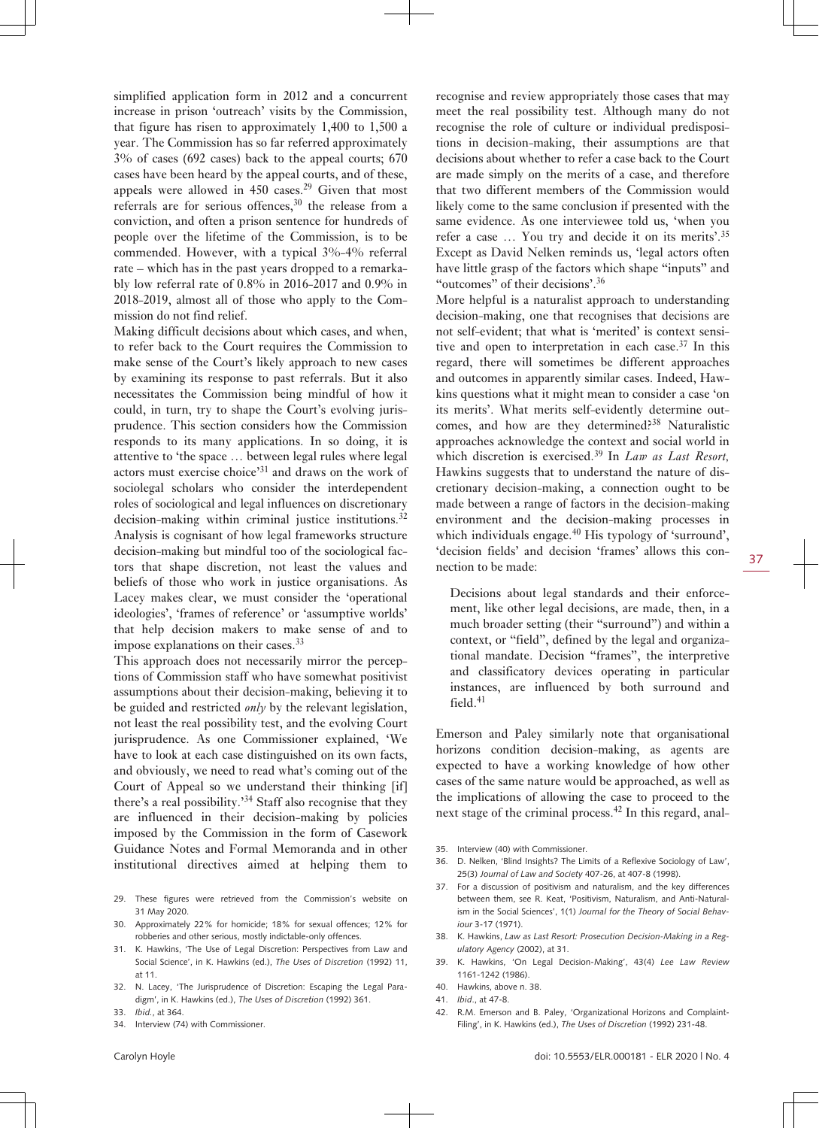simplified application form in 2012 and a concurrent increase in prison 'outreach' visits by the Commission, that figure has risen to approximately 1,400 to 1,500 a year. The Commission has so far referred approximately 3% of cases (692 cases) back to the appeal courts; 670 cases have been heard by the appeal courts, and of these, appeals were allowed in  $450$  cases.<sup>29</sup> Given that most referrals are for serious offences, $30$  the release from a conviction, and often a prison sentence for hundreds of people over the lifetime of the Commission, is to be commended. However, with a typical 3%-4% referral rate – which has in the past years dropped to a remarkably low referral rate of 0.8% in 2016-2017 and 0.9% in 2018-2019, almost all of those who apply to the Commission do not find relief.

Making difficult decisions about which cases, and when, to refer back to the Court requires the Commission to make sense of the Court's likely approach to new cases by examining its response to past referrals. But it also necessitates the Commission being mindful of how it could, in turn, try to shape the Court's evolving jurisprudence. This section considers how the Commission responds to its many applications. In so doing, it is attentive to 'the space … between legal rules where legal actors must exercise choice'31 and draws on the work of sociolegal scholars who consider the interdependent roles of sociological and legal influences on discretionary decision-making within criminal justice institutions.<sup>32</sup> Analysis is cognisant of how legal frameworks structure decision-making but mindful too of the sociological factors that shape discretion, not least the values and beliefs of those who work in justice organisations. As Lacey makes clear, we must consider the 'operational ideologies', 'frames of reference' or 'assumptive worlds' that help decision makers to make sense of and to impose explanations on their cases.<sup>33</sup>

This approach does not necessarily mirror the perceptions of Commission staff who have somewhat positivist assumptions about their decision-making, believing it to be guided and restricted *only* by the relevant legislation, not least the real possibility test, and the evolving Court jurisprudence. As one Commissioner explained, 'We have to look at each case distinguished on its own facts, and obviously, we need to read what's coming out of the Court of Appeal so we understand their thinking [if] there's a real possibility.'34 Staff also recognise that they are influenced in their decision-making by policies imposed by the Commission in the form of Casework Guidance Notes and Formal Memoranda and in other institutional directives aimed at helping them to

- 29. These figures were retrieved from the Commission's website on 31 May 2020.
- 30. Approximately 22% for homicide; 18% for sexual offences; 12% for robberies and other serious, mostly indictable-only offences.
- 31. K. Hawkins, 'The Use of Legal Discretion: Perspectives from Law and Social Science', in K. Hawkins (ed.), *The Uses of Discretion* (1992) 11, at 11.
- 32. N. Lacey, 'The Jurisprudence of Discretion: Escaping the Legal Paradigm', in K. Hawkins (ed.), *The Uses of Discretion* (1992) 361.
- 33. *Ibid.*, at 364.
- 34. Interview (74) with Commissioner.

recognise and review appropriately those cases that may meet the real possibility test. Although many do not recognise the role of culture or individual predispositions in decision-making, their assumptions are that decisions about whether to refer a case back to the Court are made simply on the merits of a case, and therefore that two different members of the Commission would likely come to the same conclusion if presented with the same evidence. As one interviewee told us, 'when you refer a case … You try and decide it on its merits'.<sup>35</sup> Except as David Nelken reminds us, 'legal actors often have little grasp of the factors which shape "inputs" and "outcomes" of their decisions'.<sup>36</sup>

More helpful is a naturalist approach to understanding decision-making, one that recognises that decisions are not self-evident; that what is 'merited' is context sensitive and open to interpretation in each case. $37$  In this regard, there will sometimes be different approaches and outcomes in apparently similar cases. Indeed, Hawkins questions what it might mean to consider a case 'on its merits'. What merits self-evidently determine outcomes, and how are they determined?<sup>38</sup> Naturalistic approaches acknowledge the context and social world in which discretion is exercised.<sup>39</sup> In *Law as Last Resort*, Hawkins suggests that to understand the nature of discretionary decision-making, a connection ought to be made between a range of factors in the decision-making environment and the decision-making processes in which individuals engage. $40$  His typology of 'surround', 'decision fields' and decision 'frames' allows this connection to be made:

Decisions about legal standards and their enforcement, like other legal decisions, are made, then, in a much broader setting (their "surround") and within a context, or "field", defined by the legal and organizational mandate. Decision "frames", the interpretive and classificatory devices operating in particular instances, are influenced by both surround and  $field.<sup>41</sup>$ 

Emerson and Paley similarly note that organisational horizons condition decision-making, as agents are expected to have a working knowledge of how other cases of the same nature would be approached, as well as the implications of allowing the case to proceed to the next stage of the criminal process.<sup>42</sup> In this regard, anal-

- 35. Interview (40) with Commissioner.
- 36. D. Nelken, 'Blind Insights? The Limits of a Reflexive Sociology of Law', 25(3) *Journal of Law and Society* 407-26, at 407-8 (1998).
- 37. For a discussion of positivism and naturalism, and the key differences between them, see R. Keat, 'Positivism, Naturalism, and Anti-Naturalism in the Social Sciences', 1(1) *Journal for the Theory of Social Behaviour* 3-17 (1971).
- 38. K. Hawkins, *Law as Last Resort: Prosecution Decision-Making in a Regulatory Agency* (2002), at 31.
- 39. K. Hawkins, 'On Legal Decision-Making', 43(4) *Lee Law Review* 1161-1242 (1986).
- 40. Hawkins, above n. 38.
- 41. *Ibid*., at 47-8.
- 42. R.M. Emerson and B. Paley, 'Organizational Horizons and Complaint-Filing', in K. Hawkins (ed.), *The Uses of Discretion* (1992) 231-48.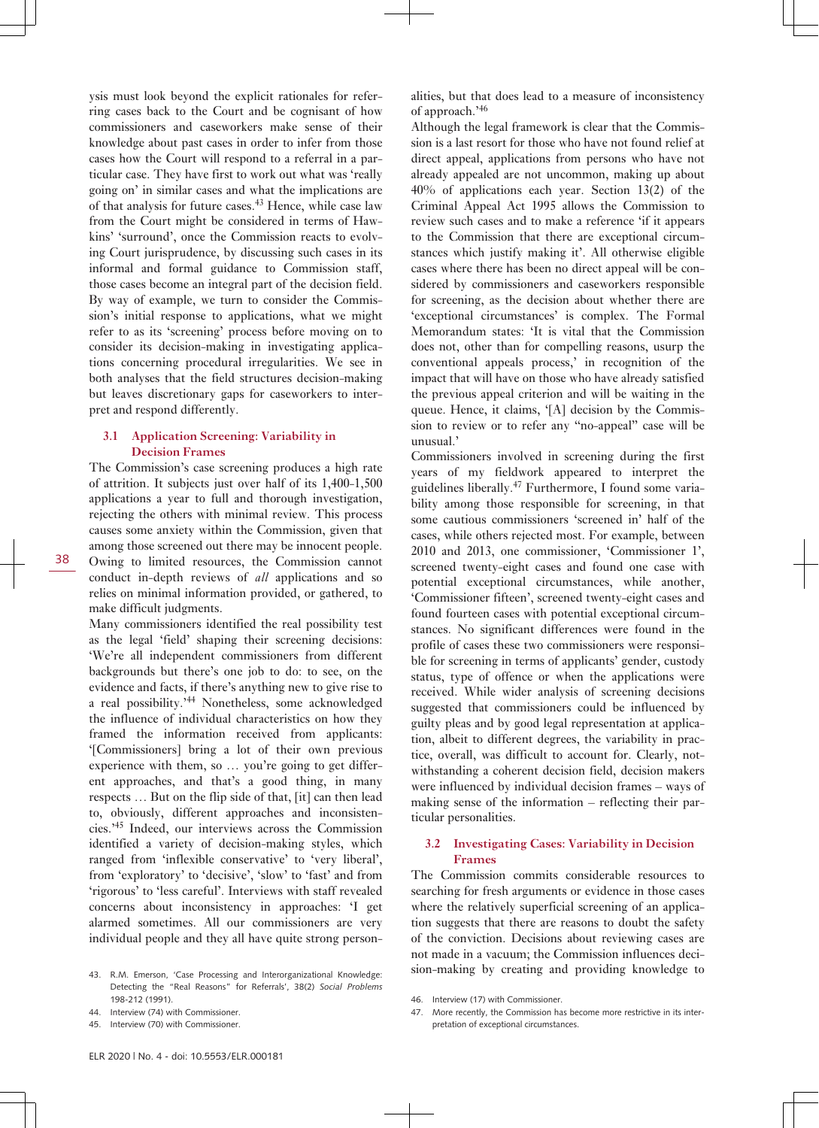ysis must look beyond the explicit rationales for referring cases back to the Court and be cognisant of how commissioners and caseworkers make sense of their knowledge about past cases in order to infer from those cases how the Court will respond to a referral in a particular case. They have first to work out what was 'really going on' in similar cases and what the implications are of that analysis for future cases.<sup>43</sup> Hence, while case law from the Court might be considered in terms of Hawkins' 'surround', once the Commission reacts to evolving Court jurisprudence, by discussing such cases in its informal and formal guidance to Commission staff, those cases become an integral part of the decision field. By way of example, we turn to consider the Commission's initial response to applications, what we might refer to as its 'screening' process before moving on to consider its decision-making in investigating applications concerning procedural irregularities. We see in both analyses that the field structures decision-making but leaves discretionary gaps for caseworkers to interpret and respond differently.

#### **3.1 Application Screening: Variability in Decision Frames**

The Commission's case screening produces a high rate of attrition. It subjects just over half of its 1,400-1,500 applications a year to full and thorough investigation, rejecting the others with minimal review. This process causes some anxiety within the Commission, given that among those screened out there may be innocent people. Owing to limited resources, the Commission cannot conduct in-depth reviews of *all* applications and so relies on minimal information provided, or gathered, to make difficult judgments.

Many commissioners identified the real possibility test as the legal 'field' shaping their screening decisions: 'We're all independent commissioners from different backgrounds but there's one job to do: to see, on the evidence and facts, if there's anything new to give rise to a real possibility.'44 Nonetheless, some acknowledged the influence of individual characteristics on how they framed the information received from applicants: '[Commissioners] bring a lot of their own previous experience with them, so … you're going to get different approaches, and that's a good thing, in many respects … But on the flip side of that, [it] can then lead to, obviously, different approaches and inconsistencies.'45 Indeed, our interviews across the Commission identified a variety of decision-making styles, which ranged from 'inflexible conservative' to 'very liberal', from 'exploratory' to 'decisive', 'slow' to 'fast' and from 'rigorous' to 'less careful'. Interviews with staff revealed concerns about inconsistency in approaches: 'I get alarmed sometimes. All our commissioners are very individual people and they all have quite strong person-

- 43. R.M. Emerson, 'Case Processing and Interorganizational Knowledge: Detecting the "Real Reasons" for Referrals', 38(2) *Social Problems* 198-212 (1991).
- 44. Interview (74) with Commissioner.
- 45. Interview (70) with Commissioner.

alities, but that does lead to a measure of inconsistency of approach.'<sup>46</sup>

Although the legal framework is clear that the Commission is a last resort for those who have not found relief at direct appeal, applications from persons who have not already appealed are not uncommon, making up about 40% of applications each year. Section 13(2) of the Criminal Appeal Act 1995 allows the Commission to review such cases and to make a reference 'if it appears to the Commission that there are exceptional circumstances which justify making it'. All otherwise eligible cases where there has been no direct appeal will be considered by commissioners and caseworkers responsible for screening, as the decision about whether there are 'exceptional circumstances' is complex. The Formal Memorandum states: 'It is vital that the Commission does not, other than for compelling reasons, usurp the conventional appeals process,' in recognition of the impact that will have on those who have already satisfied the previous appeal criterion and will be waiting in the queue. Hence, it claims, '[A] decision by the Commission to review or to refer any "no-appeal" case will be unusual.'

Commissioners involved in screening during the first years of my fieldwork appeared to interpret the guidelines liberally.47 Furthermore, I found some variability among those responsible for screening, in that some cautious commissioners 'screened in' half of the cases, while others rejected most. For example, between 2010 and 2013, one commissioner, 'Commissioner 1', screened twenty-eight cases and found one case with potential exceptional circumstances, while another, 'Commissioner fifteen', screened twenty-eight cases and found fourteen cases with potential exceptional circumstances. No significant differences were found in the profile of cases these two commissioners were responsible for screening in terms of applicants' gender, custody status, type of offence or when the applications were received. While wider analysis of screening decisions suggested that commissioners could be influenced by guilty pleas and by good legal representation at application, albeit to different degrees, the variability in practice, overall, was difficult to account for. Clearly, notwithstanding a coherent decision field, decision makers were influenced by individual decision frames – ways of making sense of the information – reflecting their particular personalities.

#### **3.2 Investigating Cases: Variability in Decision Frames**

The Commission commits considerable resources to searching for fresh arguments or evidence in those cases where the relatively superficial screening of an application suggests that there are reasons to doubt the safety of the conviction. Decisions about reviewing cases are not made in a vacuum; the Commission influences decision-making by creating and providing knowledge to

<sup>46.</sup> Interview (17) with Commissioner.

<sup>47.</sup> More recently, the Commission has become more restrictive in its interpretation of exceptional circumstances.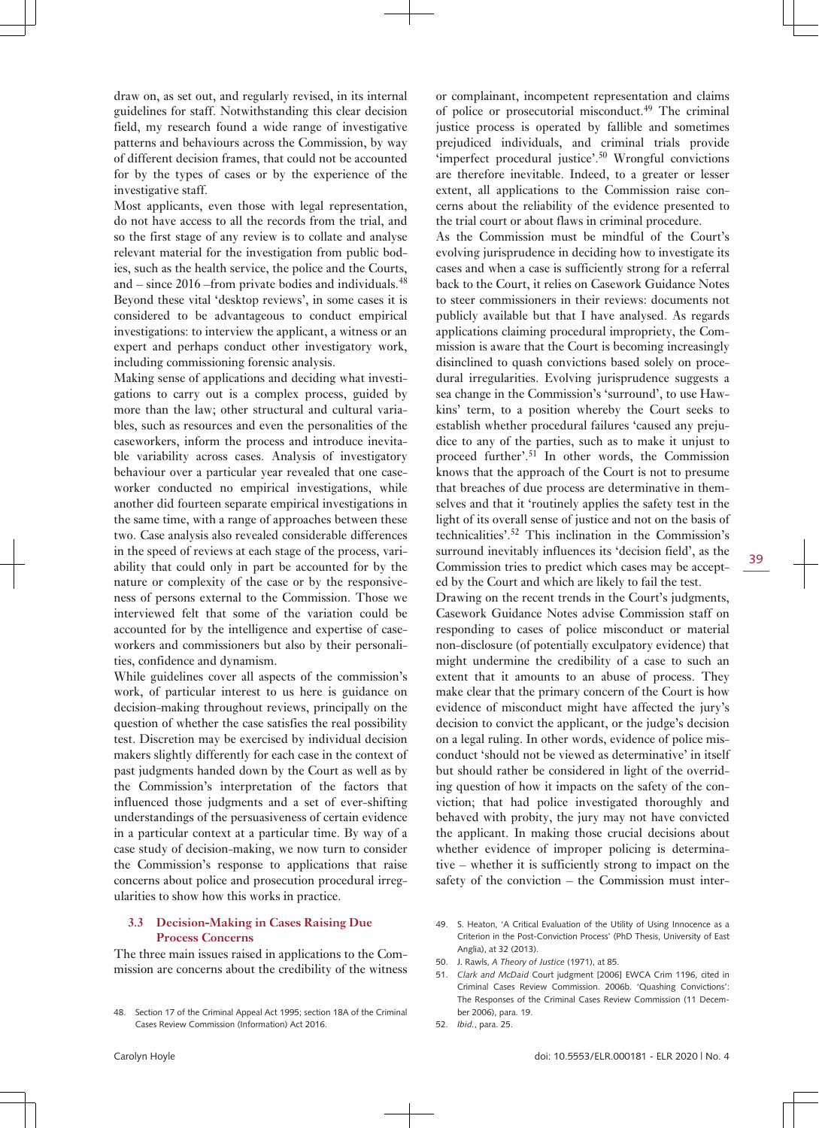draw on, as set out, and regularly revised, in its internal guidelines for staff. Notwithstanding this clear decision field, my research found a wide range of investigative patterns and behaviours across the Commission, by way of different decision frames, that could not be accounted for by the types of cases or by the experience of the investigative staff.

Most applicants, even those with legal representation, do not have access to all the records from the trial, and so the first stage of any review is to collate and analyse relevant material for the investigation from public bodies, such as the health service, the police and the Courts, and  $-$  since 2016 –from private bodies and individuals.<sup>48</sup> Beyond these vital 'desktop reviews', in some cases it is considered to be advantageous to conduct empirical investigations: to interview the applicant, a witness or an expert and perhaps conduct other investigatory work, including commissioning forensic analysis.

Making sense of applications and deciding what investigations to carry out is a complex process, guided by more than the law; other structural and cultural variables, such as resources and even the personalities of the caseworkers, inform the process and introduce inevitable variability across cases. Analysis of investigatory behaviour over a particular year revealed that one caseworker conducted no empirical investigations, while another did fourteen separate empirical investigations in the same time, with a range of approaches between these two. Case analysis also revealed considerable differences in the speed of reviews at each stage of the process, variability that could only in part be accounted for by the nature or complexity of the case or by the responsiveness of persons external to the Commission. Those we interviewed felt that some of the variation could be accounted for by the intelligence and expertise of caseworkers and commissioners but also by their personalities, confidence and dynamism.

While guidelines cover all aspects of the commission's work, of particular interest to us here is guidance on decision-making throughout reviews, principally on the question of whether the case satisfies the real possibility test. Discretion may be exercised by individual decision makers slightly differently for each case in the context of past judgments handed down by the Court as well as by the Commission's interpretation of the factors that influenced those judgments and a set of ever-shifting understandings of the persuasiveness of certain evidence in a particular context at a particular time. By way of a case study of decision-making, we now turn to consider the Commission's response to applications that raise concerns about police and prosecution procedural irregularities to show how this works in practice.

#### **3.3 Decision-Making in Cases Raising Due Process Concerns**

The three main issues raised in applications to the Commission are concerns about the credibility of the witness or complainant, incompetent representation and claims of police or prosecutorial misconduct.<sup>49</sup> The criminal justice process is operated by fallible and sometimes prejudiced individuals, and criminal trials provide 'imperfect procedural justice'.<sup>50</sup> Wrongful convictions are therefore inevitable. Indeed, to a greater or lesser extent, all applications to the Commission raise concerns about the reliability of the evidence presented to the trial court or about flaws in criminal procedure.

As the Commission must be mindful of the Court's evolving jurisprudence in deciding how to investigate its cases and when a case is sufficiently strong for a referral back to the Court, it relies on Casework Guidance Notes to steer commissioners in their reviews: documents not publicly available but that I have analysed. As regards applications claiming procedural impropriety, the Commission is aware that the Court is becoming increasingly disinclined to quash convictions based solely on procedural irregularities. Evolving jurisprudence suggests a sea change in the Commission's 'surround', to use Hawkins' term, to a position whereby the Court seeks to establish whether procedural failures 'caused any prejudice to any of the parties, such as to make it unjust to proceed further'.51 In other words, the Commission knows that the approach of the Court is not to presume that breaches of due process are determinative in themselves and that it 'routinely applies the safety test in the light of its overall sense of justice and not on the basis of technicalities'.52 This inclination in the Commission's surround inevitably influences its 'decision field', as the Commission tries to predict which cases may be accepted by the Court and which are likely to fail the test.

Drawing on the recent trends in the Court's judgments, Casework Guidance Notes advise Commission staff on responding to cases of police misconduct or material non-disclosure (of potentially exculpatory evidence) that might undermine the credibility of a case to such an extent that it amounts to an abuse of process. They make clear that the primary concern of the Court is how evidence of misconduct might have affected the jury's decision to convict the applicant, or the judge's decision on a legal ruling. In other words, evidence of police misconduct 'should not be viewed as determinative' in itself but should rather be considered in light of the overriding question of how it impacts on the safety of the conviction; that had police investigated thoroughly and behaved with probity, the jury may not have convicted the applicant. In making those crucial decisions about whether evidence of improper policing is determinative – whether it is sufficiently strong to impact on the safety of the conviction – the Commission must inter-

- 49. S. Heaton, 'A Critical Evaluation of the Utility of Using Innocence as a Criterion in the Post-Conviction Process' (PhD Thesis, University of East Anglia), at 32 (2013).
- 50. J. Rawls, *A Theory of Justice* (1971), at 85.
- 51. *Clark and McDaid* Court judgment [2006] EWCA Crim 1196, cited in Criminal Cases Review Commission. 2006b. 'Quashing Convictions': The Responses of the Criminal Cases Review Commission (11 December 2006), para. 19.
- 52. *Ibid.*, para. 25.

<sup>48.</sup> Section 17 of the Criminal Appeal Act 1995; section 18A of the Criminal Cases Review Commission (Information) Act 2016.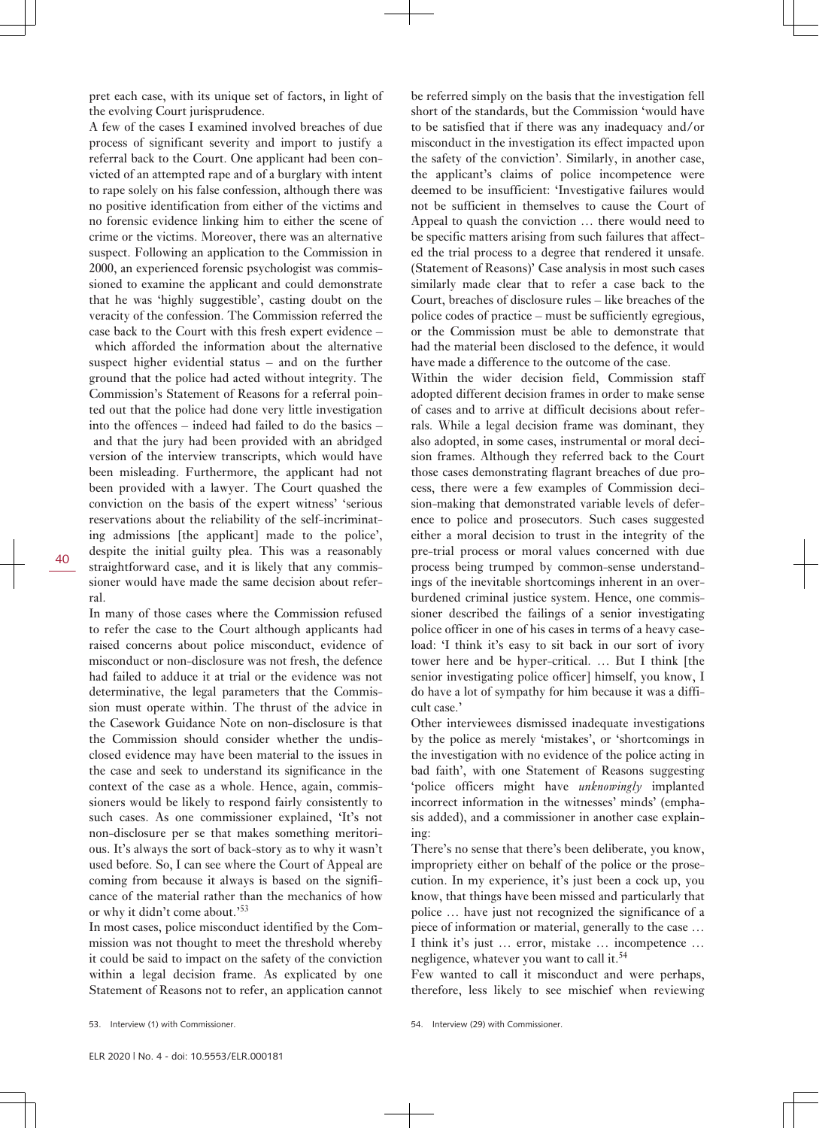pret each case, with its unique set of factors, in light of the evolving Court jurisprudence.

A few of the cases I examined involved breaches of due process of significant severity and import to justify a referral back to the Court. One applicant had been convicted of an attempted rape and of a burglary with intent to rape solely on his false confession, although there was no positive identification from either of the victims and no forensic evidence linking him to either the scene of crime or the victims. Moreover, there was an alternative suspect. Following an application to the Commission in 2000, an experienced forensic psychologist was commissioned to examine the applicant and could demonstrate that he was 'highly suggestible', casting doubt on the veracity of the confession. The Commission referred the case back to the Court with this fresh expert evidence –

 which afforded the information about the alternative suspect higher evidential status – and on the further ground that the police had acted without integrity. The Commission's Statement of Reasons for a referral pointed out that the police had done very little investigation into the offences – indeed had failed to do the basics – and that the jury had been provided with an abridged version of the interview transcripts, which would have been misleading. Furthermore, the applicant had not been provided with a lawyer. The Court quashed the conviction on the basis of the expert witness' 'serious reservations about the reliability of the self-incriminating admissions [the applicant] made to the police', despite the initial guilty plea. This was a reasonably straightforward case, and it is likely that any commissioner would have made the same decision about referral.

In many of those cases where the Commission refused to refer the case to the Court although applicants had raised concerns about police misconduct, evidence of misconduct or non-disclosure was not fresh, the defence had failed to adduce it at trial or the evidence was not determinative, the legal parameters that the Commission must operate within. The thrust of the advice in the Casework Guidance Note on non-disclosure is that the Commission should consider whether the undisclosed evidence may have been material to the issues in the case and seek to understand its significance in the context of the case as a whole. Hence, again, commissioners would be likely to respond fairly consistently to such cases. As one commissioner explained, 'It's not non-disclosure per se that makes something meritorious. It's always the sort of back-story as to why it wasn't used before. So, I can see where the Court of Appeal are coming from because it always is based on the significance of the material rather than the mechanics of how or why it didn't come about.'<sup>53</sup>

In most cases, police misconduct identified by the Commission was not thought to meet the threshold whereby it could be said to impact on the safety of the conviction within a legal decision frame. As explicated by one Statement of Reasons not to refer, an application cannot be referred simply on the basis that the investigation fell short of the standards, but the Commission 'would have to be satisfied that if there was any inadequacy and/or misconduct in the investigation its effect impacted upon the safety of the conviction'. Similarly, in another case, the applicant's claims of police incompetence were deemed to be insufficient: 'Investigative failures would not be sufficient in themselves to cause the Court of Appeal to quash the conviction … there would need to be specific matters arising from such failures that affected the trial process to a degree that rendered it unsafe. (Statement of Reasons)' Case analysis in most such cases similarly made clear that to refer a case back to the Court, breaches of disclosure rules – like breaches of the police codes of practice – must be sufficiently egregious, or the Commission must be able to demonstrate that had the material been disclosed to the defence, it would have made a difference to the outcome of the case.

Within the wider decision field, Commission staff adopted different decision frames in order to make sense of cases and to arrive at difficult decisions about referrals. While a legal decision frame was dominant, they also adopted, in some cases, instrumental or moral decision frames. Although they referred back to the Court those cases demonstrating flagrant breaches of due process, there were a few examples of Commission decision-making that demonstrated variable levels of deference to police and prosecutors. Such cases suggested either a moral decision to trust in the integrity of the pre-trial process or moral values concerned with due process being trumped by common-sense understandings of the inevitable shortcomings inherent in an overburdened criminal justice system. Hence, one commissioner described the failings of a senior investigating police officer in one of his cases in terms of a heavy caseload: 'I think it's easy to sit back in our sort of ivory tower here and be hyper-critical. … But I think [the senior investigating police officer] himself, you know, I do have a lot of sympathy for him because it was a difficult case.'

Other interviewees dismissed inadequate investigations by the police as merely 'mistakes', or 'shortcomings in the investigation with no evidence of the police acting in bad faith', with one Statement of Reasons suggesting 'police officers might have *unknowingly* implanted incorrect information in the witnesses' minds' (emphasis added), and a commissioner in another case explaining:

There's no sense that there's been deliberate, you know, impropriety either on behalf of the police or the prosecution. In my experience, it's just been a cock up, you know, that things have been missed and particularly that police … have just not recognized the significance of a piece of information or material, generally to the case … I think it's just … error, mistake … incompetence … negligence, whatever you want to call it.<sup>54</sup>

Few wanted to call it misconduct and were perhaps, therefore, less likely to see mischief when reviewing

40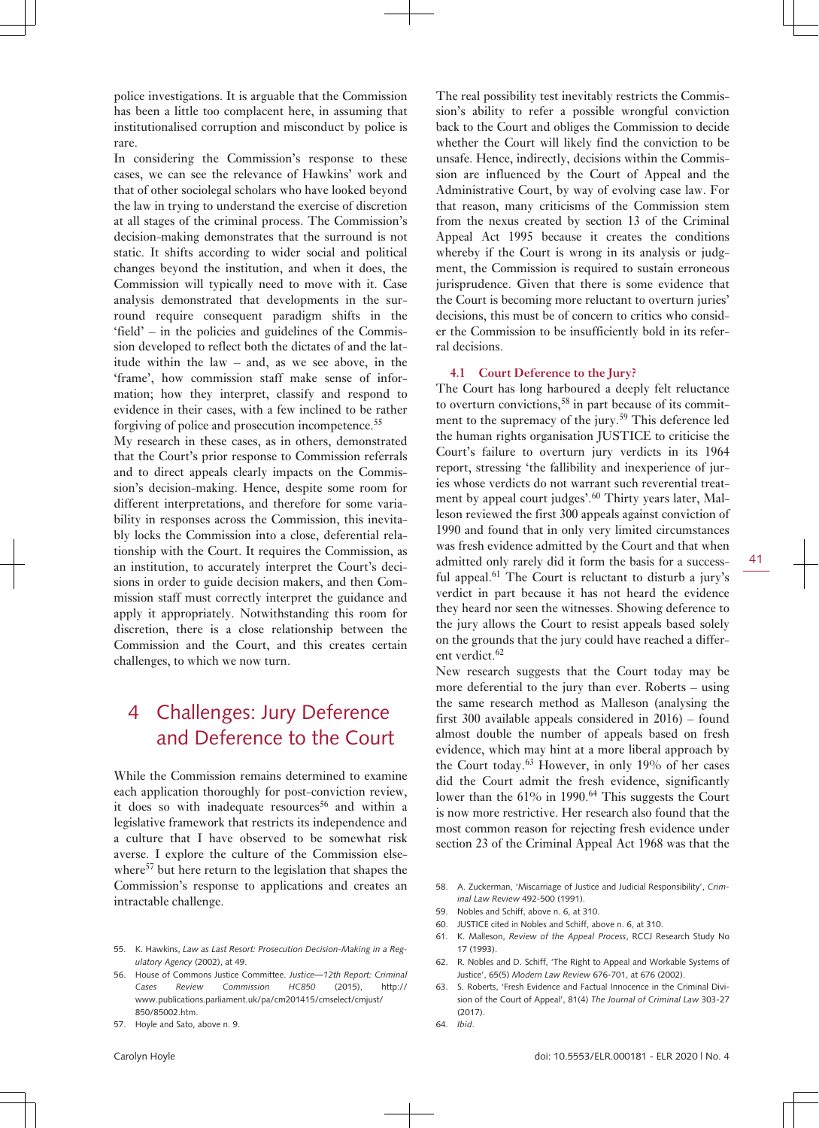police investigations. It is arguable that the Commission has been a little too complacent here, in assuming that institutionalised corruption and misconduct by police is rare.

In considering the Commission's response to these cases, we can see the relevance of Hawkins' work and that of other sociolegal scholars who have looked beyond the law in trying to understand the exercise of discretion at all stages of the criminal process. The Commission's decision-making demonstrates that the surround is not static. It shifts according to wider social and political changes beyond the institution, and when it does, the Commission will typically need to move with it. Case analysis demonstrated that developments in the surround require consequent paradigm shifts in the 'field' – in the policies and guidelines of the Commission developed to reflect both the dictates of and the latitude within the law – and, as we see above, in the 'frame', how commission staff make sense of information; how they interpret, classify and respond to evidence in their cases, with a few inclined to be rather forgiving of police and prosecution incompetence.<sup>55</sup>

My research in these cases, as in others, demonstrated that the Court's prior response to Commission referrals and to direct appeals clearly impacts on the Commission's decision-making. Hence, despite some room for different interpretations, and therefore for some variability in responses across the Commission, this inevitably locks the Commission into a close, deferential relationship with the Court. It requires the Commission, as an institution, to accurately interpret the Court's decisions in order to guide decision makers, and then Commission staff must correctly interpret the guidance and apply it appropriately. Notwithstanding this room for discretion, there is a close relationship between the Commission and the Court, and this creates certain challenges, to which we now turn.

## 4 Challenges: Jury Deference and Deference to the Court

While the Commission remains determined to examine each application thoroughly for post-conviction review, it does so with inadequate  $resources^{56}$  and within a legislative framework that restricts its independence and a culture that I have observed to be somewhat risk averse. I explore the culture of the Commission elsewhere<sup>57</sup> but here return to the legislation that shapes the Commission's response to applications and creates an intractable challenge.

- 55. K. Hawkins, *Law as Last Resort: Prosecution Decision-Making in a Regulatory Agency* (2002), at 49.
- 56. House of Commons Justice Committee. *Justice—12th Report: Criminal Cases Review Commission HC850* (2015), [http://](http://www.publications.parliament.uk/pa/cm201415/cmselect/cmjust/850/85002.htm) [www.publications.parliament.uk/pa/cm201415/cmselect/cmjust/](http://www.publications.parliament.uk/pa/cm201415/cmselect/cmjust/850/85002.htm) [850/85002.htm.](http://www.publications.parliament.uk/pa/cm201415/cmselect/cmjust/850/85002.htm)
- 57. Hoyle and Sato, above n. 9.

The real possibility test inevitably restricts the Commission's ability to refer a possible wrongful conviction back to the Court and obliges the Commission to decide whether the Court will likely find the conviction to be unsafe. Hence, indirectly, decisions within the Commission are influenced by the Court of Appeal and the Administrative Court, by way of evolving case law. For that reason, many criticisms of the Commission stem from the nexus created by section 13 of the Criminal Appeal Act 1995 because it creates the conditions whereby if the Court is wrong in its analysis or judgment, the Commission is required to sustain erroneous jurisprudence. Given that there is some evidence that the Court is becoming more reluctant to overturn juries' decisions, this must be of concern to critics who consider the Commission to be insufficiently bold in its referral decisions.

#### **4.1 Court Deference to the Jury?**

The Court has long harboured a deeply felt reluctance to overturn convictions,<sup>58</sup> in part because of its commitment to the supremacy of the jury.<sup>59</sup> This deference led the human rights organisation JUSTICE to criticise the Court's failure to overturn jury verdicts in its 1964 report, stressing 'the fallibility and inexperience of juries whose verdicts do not warrant such reverential treatment by appeal court judges'.<sup>60</sup> Thirty years later, Malleson reviewed the first 300 appeals against conviction of 1990 and found that in only very limited circumstances was fresh evidence admitted by the Court and that when admitted only rarely did it form the basis for a successful appeal.<sup>61</sup> The Court is reluctant to disturb a jury's verdict in part because it has not heard the evidence they heard nor seen the witnesses. Showing deference to the jury allows the Court to resist appeals based solely on the grounds that the jury could have reached a different verdict.<sup>62</sup>

New research suggests that the Court today may be more deferential to the jury than ever. Roberts – using the same research method as Malleson (analysing the first 300 available appeals considered in 2016) – found almost double the number of appeals based on fresh evidence, which may hint at a more liberal approach by the Court today.<sup>63</sup> However, in only 19% of her cases did the Court admit the fresh evidence, significantly lower than the 61% in 1990.<sup>64</sup> This suggests the Court is now more restrictive. Her research also found that the most common reason for rejecting fresh evidence under section 23 of the Criminal Appeal Act 1968 was that the

- 58. A. Zuckerman, 'Miscarriage of Justice and Judicial Responsibility', *Criminal Law Review* 492-500 (1991).
- 59. Nobles and Schiff, above n. 6, at 310.
- 60. JUSTICE cited in Nobles and Schiff, above n. 6, at 310.
- 61. K. Malleson, *Review of the Appeal Process*, RCCJ Research Study No 17 (1993).
- 62. R. Nobles and D. Schiff, 'The Right to Appeal and Workable Systems of Justice', 65(5) *Modern Law Review* 676-701, at 676 (2002).
- 63. S. Roberts, 'Fresh Evidence and Factual Innocence in the Criminal Division of the Court of Appeal', 81(4) *The Journal of Criminal Law* 303-27 (2017).
- 64. *Ibid*.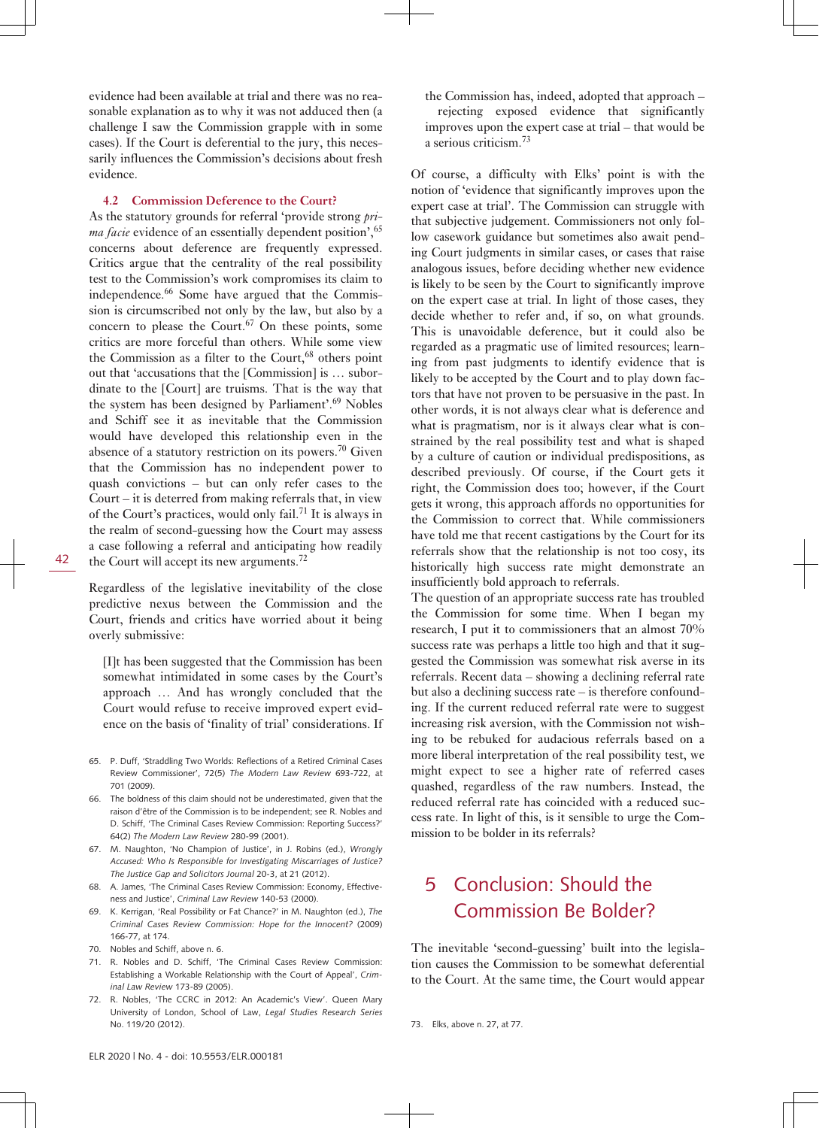evidence had been available at trial and there was no reasonable explanation as to why it was not adduced then (a challenge I saw the Commission grapple with in some cases). If the Court is deferential to the jury, this necessarily influences the Commission's decisions about fresh evidence.

#### **4.2 Commission Deference to the Court?**

As the statutory grounds for referral 'provide strong *prima facie* evidence of an essentially dependent position', <sup>65</sup> concerns about deference are frequently expressed. Critics argue that the centrality of the real possibility test to the Commission's work compromises its claim to independence.66 Some have argued that the Commission is circumscribed not only by the law, but also by a concern to please the Court. $67$  On these points, some critics are more forceful than others. While some view the Commission as a filter to the Court, $68$  others point out that 'accusations that the [Commission] is … subordinate to the [Court] are truisms. That is the way that the system has been designed by Parliament'.<sup>69</sup> Nobles and Schiff see it as inevitable that the Commission would have developed this relationship even in the absence of a statutory restriction on its powers.<sup>70</sup> Given that the Commission has no independent power to quash convictions – but can only refer cases to the Court – it is deterred from making referrals that, in view of the Court's practices, would only fail.<sup>71</sup> It is always in the realm of second-guessing how the Court may assess a case following a referral and anticipating how readily the Court will accept its new arguments.<sup>72</sup>

Regardless of the legislative inevitability of the close predictive nexus between the Commission and the Court, friends and critics have worried about it being overly submissive:

[I]t has been suggested that the Commission has been somewhat intimidated in some cases by the Court's approach … And has wrongly concluded that the Court would refuse to receive improved expert evidence on the basis of 'finality of trial' considerations. If

- 65. P. Duff, 'Straddling Two Worlds: Reflections of a Retired Criminal Cases Review Commissioner', 72(5) *The Modern Law Review* 693-722, at 701 (2009).
- 66. The boldness of this claim should not be underestimated, given that the raison d'être of the Commission is to be independent; see R. Nobles and D. Schiff, 'The Criminal Cases Review Commission: Reporting Success?' 64(2) *The Modern Law Review* 280-99 (2001).
- 67. M. Naughton, 'No Champion of Justice', in J. Robins (ed.), *Wrongly Accused: Who Is Responsible for Investigating Miscarriages of Justice? The Justice Gap and Solicitors Journal* 20-3, at 21 (2012).
- 68. A. James, 'The Criminal Cases Review Commission: Economy, Effectiveness and Justice', *Criminal Law Review* 140-53 (2000).
- 69. K. Kerrigan, 'Real Possibility or Fat Chance?' in M. Naughton (ed.), *The Criminal Cases Review Commission: Hope for the Innocent?* (2009) 166-77, at 174.
- 70. Nobles and Schiff, above n. 6.
- 71. R. Nobles and D. Schiff, 'The Criminal Cases Review Commission: Establishing a Workable Relationship with the Court of Appeal', *Criminal Law Review* 173-89 (2005).
- 72. R. Nobles, 'The CCRC in 2012: An Academic's View'. Queen Mary University of London, School of Law, *Legal Studies Research Series* No. 119/20 (2012).

the Commission has, indeed, adopted that approach – rejecting exposed evidence that significantly improves upon the expert case at trial – that would be a serious criticism.<sup>73</sup>

Of course, a difficulty with Elks' point is with the notion of 'evidence that significantly improves upon the expert case at trial'. The Commission can struggle with that subjective judgement. Commissioners not only follow casework guidance but sometimes also await pending Court judgments in similar cases, or cases that raise analogous issues, before deciding whether new evidence is likely to be seen by the Court to significantly improve on the expert case at trial. In light of those cases, they decide whether to refer and, if so, on what grounds. This is unavoidable deference, but it could also be regarded as a pragmatic use of limited resources; learning from past judgments to identify evidence that is likely to be accepted by the Court and to play down factors that have not proven to be persuasive in the past. In other words, it is not always clear what is deference and what is pragmatism, nor is it always clear what is constrained by the real possibility test and what is shaped by a culture of caution or individual predispositions, as described previously. Of course, if the Court gets it right, the Commission does too; however, if the Court gets it wrong, this approach affords no opportunities for the Commission to correct that. While commissioners have told me that recent castigations by the Court for its referrals show that the relationship is not too cosy, its historically high success rate might demonstrate an insufficiently bold approach to referrals.

The question of an appropriate success rate has troubled the Commission for some time. When I began my research, I put it to commissioners that an almost 70% success rate was perhaps a little too high and that it suggested the Commission was somewhat risk averse in its referrals. Recent data – showing a declining referral rate but also a declining success rate – is therefore confounding. If the current reduced referral rate were to suggest increasing risk aversion, with the Commission not wishing to be rebuked for audacious referrals based on a more liberal interpretation of the real possibility test, we might expect to see a higher rate of referred cases quashed, regardless of the raw numbers. Instead, the reduced referral rate has coincided with a reduced success rate. In light of this, is it sensible to urge the Commission to be bolder in its referrals?

### 5 Conclusion: Should the Commission Be Bolder?

The inevitable 'second-guessing' built into the legislation causes the Commission to be somewhat deferential to the Court. At the same time, the Court would appear

<sup>73.</sup> Elks, above n. 27, at 77.